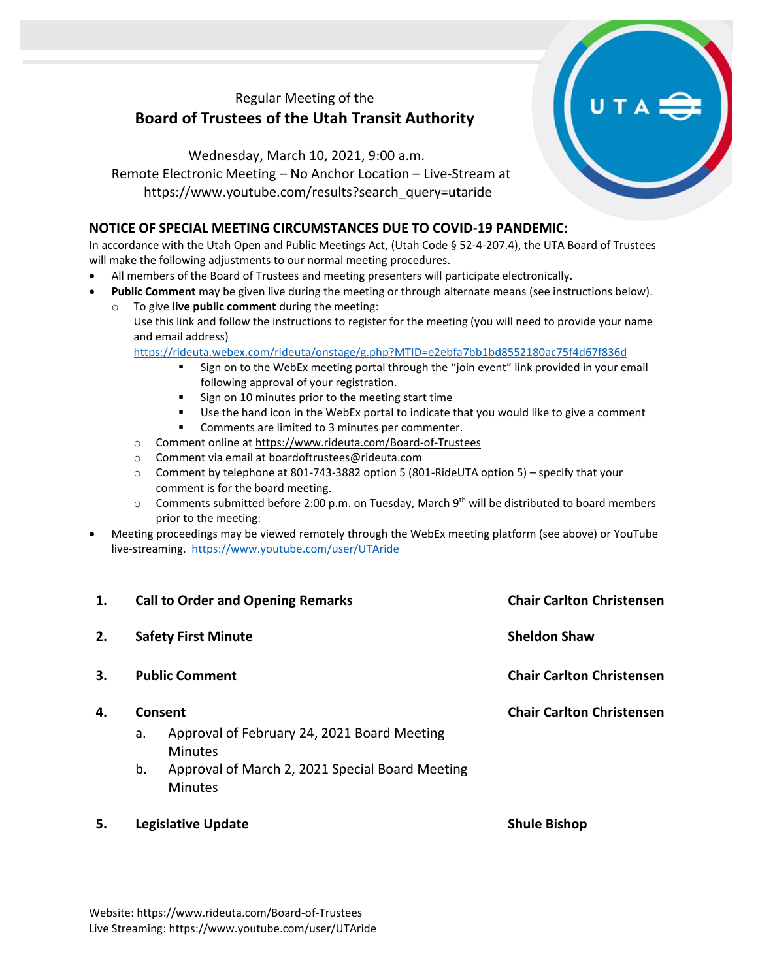## Regular Meeting of the **Board of Trustees of the Utah Transit Authority**

## Wednesday, March 10, 2021, 9:00 a.m. Remote Electronic Meeting – No Anchor Location – Live-Stream at [https://www.youtube.com/results?search\\_query=utaride](https://www.youtube.com/results?search_query=utaride)

## **NOTICE OF SPECIAL MEETING CIRCUMSTANCES DUE TO COVID-19 PANDEMIC:**

In accordance with the Utah Open and Public Meetings Act, (Utah Code § 52-4-207.4), the UTA Board of Trustees will make the following adjustments to our normal meeting procedures.

- All members of the Board of Trustees and meeting presenters will participate electronically.
- **Public Comment** may be given live during the meeting or through alternate means (see instructions below).
	- To give live public comment during the meeting: Use this link and follow the instructions to register for the meeting (you will need to provide your name and email address)

<https://rideuta.webex.com/rideuta/onstage/g.php?MTID=e2ebfa7bb1bd8552180ac75f4d67f836d>

- Sign on to the WebEx meeting portal through the "join event" link provided in your email following approval of your registration.
- Sign on 10 minutes prior to the meeting start time
- Use the hand icon in the WebEx portal to indicate that you would like to give a comment
- Comments are limited to 3 minutes per commenter.
- o Comment online a[t https://www.rideuta.com/Board-of-Trustees](https://www.rideuta.com/Board-of-Trustees)
- o Comment via email at [boardoftrustees@rideuta.com](mailto:boardoftrustees@rideuta.com)
- $\circ$  Comment by telephone at 801-743-3882 option 5 (801-RideUTA option 5) specify that your comment is for the board meeting.
- $\circ$  Comments submitted before 2:00 p.m. on Tuesday, March 9<sup>th</sup> will be distributed to board members prior to the meeting:
- Meeting proceedings may be viewed remotely through the WebEx meeting platform (see above) or YouTube live-streaming. <https://www.youtube.com/user/UTAride>

| 1. | <b>Call to Order and Opening Remarks</b>            |                                                                   | <b>Chair Carlton Christensen</b>                        |
|----|-----------------------------------------------------|-------------------------------------------------------------------|---------------------------------------------------------|
| 2. | <b>Safety First Minute</b><br><b>Public Comment</b> |                                                                   | <b>Sheldon Shaw</b><br><b>Chair Carlton Christensen</b> |
| 3. |                                                     |                                                                   |                                                         |
| 4. | Consent                                             |                                                                   | <b>Chair Carlton Christensen</b>                        |
|    | a.                                                  | Approval of February 24, 2021 Board Meeting<br><b>Minutes</b>     |                                                         |
|    | b.                                                  | Approval of March 2, 2021 Special Board Meeting<br><b>Minutes</b> |                                                         |
| 5. | <b>Legislative Update</b>                           |                                                                   | <b>Shule Bishop</b>                                     |